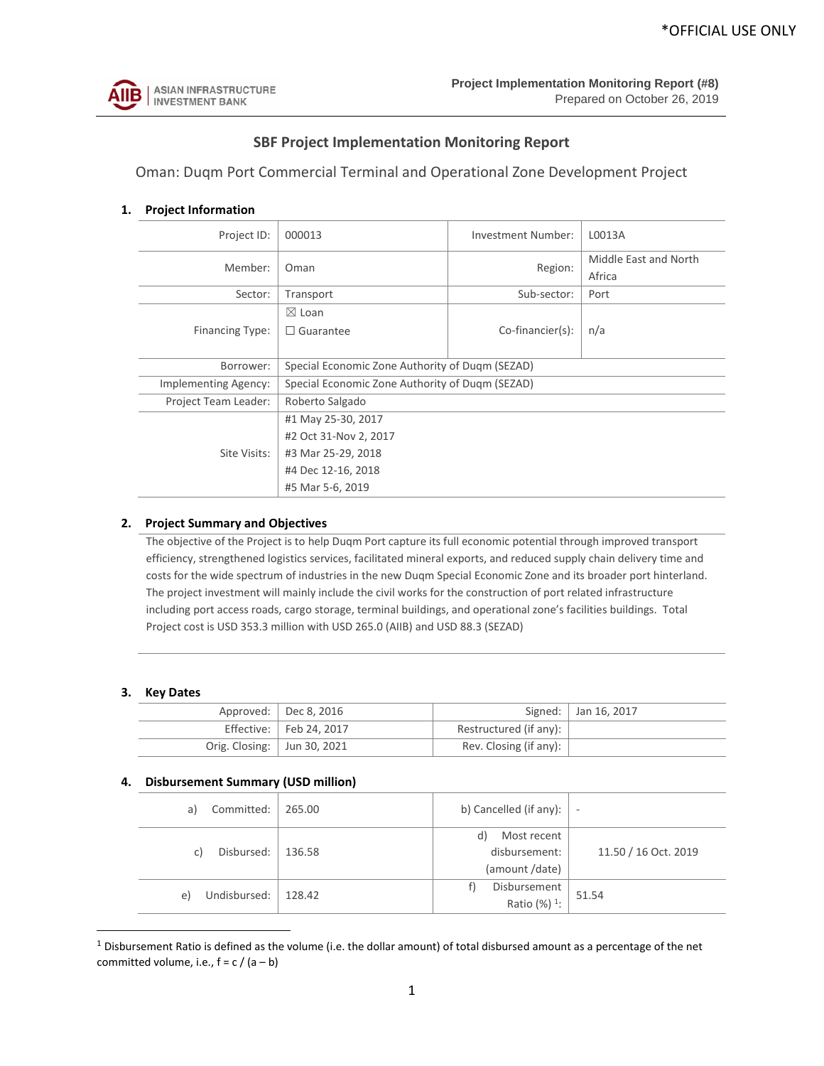

# **SBF Project Implementation Monitoring Report**

Oman: Duqm Port Commercial Terminal and Operational Zone Development Project

# **1. Project Information**

| Project ID:            | 000013                                          | Investment Number:  | L0013A                |  |  |  |  |  |  |
|------------------------|-------------------------------------------------|---------------------|-----------------------|--|--|--|--|--|--|
| Member:                | Oman                                            |                     | Middle East and North |  |  |  |  |  |  |
|                        |                                                 | Region:             | Africa                |  |  |  |  |  |  |
| Sector:                | Transport                                       | Sub-sector:         | Port                  |  |  |  |  |  |  |
|                        | $\boxtimes$ Loan                                |                     |                       |  |  |  |  |  |  |
| <b>Financing Type:</b> | $\Box$ Guarantee                                | $Co$ -financier(s): | n/a                   |  |  |  |  |  |  |
|                        |                                                 |                     |                       |  |  |  |  |  |  |
| Borrower:              | Special Economic Zone Authority of Dugm (SEZAD) |                     |                       |  |  |  |  |  |  |
| Implementing Agency:   | Special Economic Zone Authority of Dugm (SEZAD) |                     |                       |  |  |  |  |  |  |
| Project Team Leader:   | Roberto Salgado                                 |                     |                       |  |  |  |  |  |  |
|                        | #1 May 25-30, 2017                              |                     |                       |  |  |  |  |  |  |
|                        | #2 Oct 31-Nov 2, 2017                           |                     |                       |  |  |  |  |  |  |
| Site Visits:           | #3 Mar 25-29, 2018                              |                     |                       |  |  |  |  |  |  |
|                        | #4 Dec 12-16, 2018                              |                     |                       |  |  |  |  |  |  |
|                        | #5 Mar 5-6, 2019                                |                     |                       |  |  |  |  |  |  |

#### **2. Project Summary and Objectives**

The objective of the Project is to help Duqm Port capture its full economic potential through improved transport efficiency, strengthened logistics services, facilitated mineral exports, and reduced supply chain delivery time and costs for the wide spectrum of industries in the new Duqm Special Economic Zone and its broader port hinterland. The project investment will mainly include the civil works for the construction of port related infrastructure including port access roads, cargo storage, terminal buildings, and operational zone's facilities buildings. Total Project cost is USD 353.3 million with USD 265.0 (AIIB) and USD 88.3 (SEZAD)

#### **3. Key Dates**

 $\overline{a}$ 

|                               | Approved: $\vert$ Dec 8, 2016 |                                | Signed:   Jan 16, 2017 |
|-------------------------------|-------------------------------|--------------------------------|------------------------|
|                               | Effective: Feb 24, 2017       | Restructured (if any): $\vert$ |                        |
| Orig. Closing:   Jun 30, 2021 |                               | Rev. Closing (if any): $\vert$ |                        |

#### **4. Disbursement Summary (USD million)**

| Committed:<br>a) | 265.00 | b) Cancelled (if any): $\vert$ - |       |               |  |                      |  |  |
|------------------|--------|----------------------------------|-------|---------------|--|----------------------|--|--|
|                  |        | Most recent<br>d)                |       |               |  |                      |  |  |
| Disbursed:<br>C) | 136.58 |                                  |       | disbursement: |  | 11.50 / 16 Oct. 2019 |  |  |
|                  |        | (amount /date)                   |       |               |  |                      |  |  |
| Undisbursed:     | 128.42 | Disbursement                     | 51.54 |               |  |                      |  |  |
| e)               |        | Ratio (%) <sup>1</sup> :         |       |               |  |                      |  |  |

 $1$  Disbursement Ratio is defined as the volume (i.e. the dollar amount) of total disbursed amount as a percentage of the net committed volume, i.e.,  $f = c / (a - b)$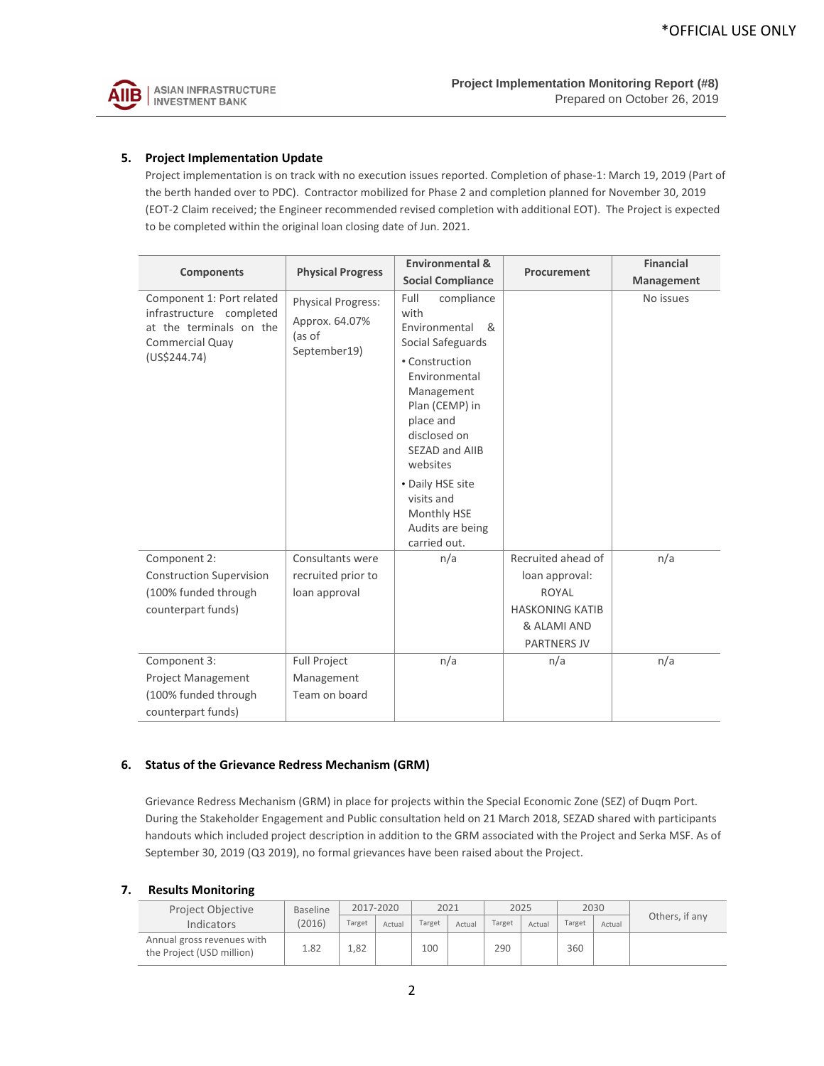

## **5. Project Implementation Update**

Project implementation is on track with no execution issues reported. Completion of phase-1: March 19, 2019 (Part of the berth handed over to PDC). Contractor mobilized for Phase 2 and completion planned for November 30, 2019 (EOT-2 Claim received; the Engineer recommended revised completion with additional EOT). The Project is expected to be completed within the original loan closing date of Jun. 2021.

|                                                                                                                     |                                                                | <b>Environmental &amp;</b>                                                                                                                                                                                                                                                               | Procurement                                                                                                  | <b>Financial</b> |
|---------------------------------------------------------------------------------------------------------------------|----------------------------------------------------------------|------------------------------------------------------------------------------------------------------------------------------------------------------------------------------------------------------------------------------------------------------------------------------------------|--------------------------------------------------------------------------------------------------------------|------------------|
| <b>Components</b>                                                                                                   | <b>Physical Progress</b>                                       | <b>Social Compliance</b>                                                                                                                                                                                                                                                                 |                                                                                                              | Management       |
| Component 1: Port related<br>infrastructure completed<br>at the terminals on the<br>Commercial Quay<br>(US\$244.74) | Physical Progress:<br>Approx. 64.07%<br>(as of<br>September19) | Full<br>compliance<br>with<br>Environmental<br>ୡ<br>Social Safeguards<br>• Construction<br>Environmental<br>Management<br>Plan (CEMP) in<br>place and<br>disclosed on<br>SEZAD and AIIB<br>websites<br>• Daily HSE site<br>visits and<br>Monthly HSE<br>Audits are being<br>carried out. |                                                                                                              | No issues        |
| Component 2:<br><b>Construction Supervision</b><br>(100% funded through<br>counterpart funds)                       | Consultants were<br>recruited prior to<br>loan approval        | n/a                                                                                                                                                                                                                                                                                      | Recruited ahead of<br>loan approval:<br>ROYAL<br><b>HASKONING KATIB</b><br>& ALAMI AND<br><b>PARTNERS JV</b> | n/a              |
| Component 3:<br><b>Project Management</b><br>(100% funded through<br>counterpart funds)                             | <b>Full Project</b><br>Management<br>Team on board             | n/a                                                                                                                                                                                                                                                                                      | n/a                                                                                                          | n/a              |

#### **6. Status of the Grievance Redress Mechanism (GRM)**

Grievance Redress Mechanism (GRM) in place for projects within the Special Economic Zone (SEZ) of Duqm Port. During the Stakeholder Engagement and Public consultation held on 21 March 2018, SEZAD shared with participants handouts which included project description in addition to the GRM associated with the Project and Serka MSF. As of September 30, 2019 (Q3 2019), no formal grievances have been raised about the Project.

## **7. Results Monitoring**

| Project Objective                                       | <b>Baseline</b> | 2017-2020 |        | 2021   |        | 2025   |        | 2030   |        |                |
|---------------------------------------------------------|-----------------|-----------|--------|--------|--------|--------|--------|--------|--------|----------------|
| <b>Indicators</b>                                       | (2016)          | Target    | Actual | Target | Actual | Target | Actual | Target | Actual | Others, if any |
| Annual gross revenues with<br>the Project (USD million) | 1.82            | 1.82      |        | 100    |        | 290    |        | 360    |        |                |